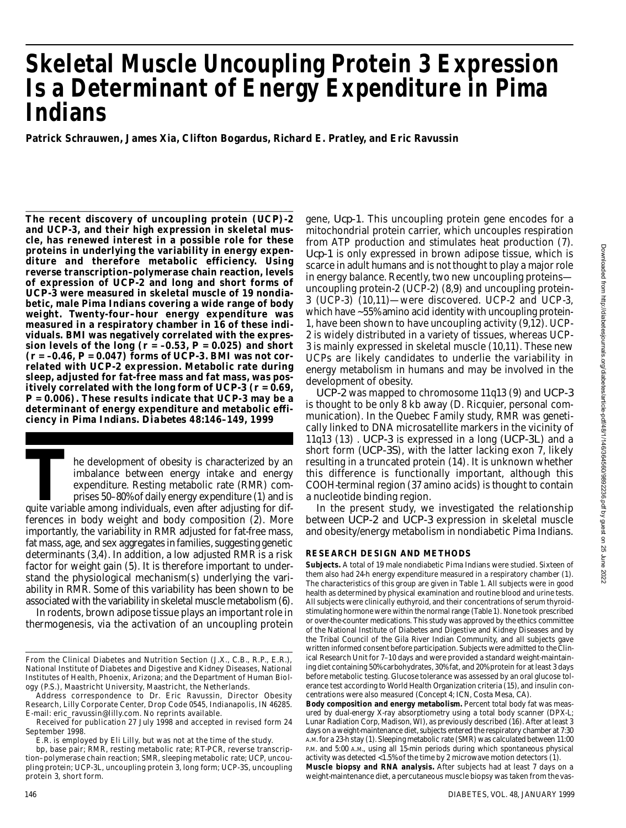# **Skeletal Muscle Uncoupling Protein 3 Expression Is a Determinant of Energy Expenditure in Pima Indians**

**Patrick Schrauwen, James Xia, Clifton Bogardus, Richard E. Pratley, and Eric Ravussin**

**The recent discovery of uncoupling protein (UCP)-2 and UCP-3, and their high expression in skeletal muscle, has renewed interest in a possible role for these proteins in underlying the variability in energy expen**diture and therefore metabolic efficiency. Using **reverse transcription–polymerase chain reaction, levels** of expression of *UCP-2* and long and short forms of UCP-3 were measured in skeletal muscle of 19 nondia**betic, male Pima Indians covering a wide range of body weight. Twenty-four–hour energy expenditure was measured in a respiratory chamber in 16 of these individuals. BMI was negatively correlated with the expres**sion levels of the long  $(r = -0.53, P = 0.025)$  and short  $(r = -0.46, P = 0.047)$  forms of *UCP-3*. BMI was not correlated with UCP-2 expression. Metabolic rate during **sleep, adjusted for fat-free mass and fat mass, was pos**itively correlated with the long form of *UCP-3* ( $r = 0.69$ , *P* **= 0.006). These results indicate that UCP-3 may be a** determinant of energy expenditure and metabolic effi**ciency in Pima Indians.** *D i a b e t e s* **48:146–149, 1999**

The development of obesity is characterized by an<br>
imbalance between energy intake and energy<br>
expenditure. Resting metabolic rate (RMR) com-<br>
prises 50–80% of daily energy expenditure (1) and is<br>
quite variable among indi he development of obesity is characterized by an imbalance between energy intake and energy expenditure. Resting metabolic rate (RMR) comprises 50–80% of daily energy expenditure (1) and is ferences in body weight and body composition (2). More im portantly, the variability in RMR adjusted for fat-free mass, fat mass, age, and sex aggregates in families, suggesting genetic determinants (3,4). In addition, a low adjusted RMR is a risk factor for weight gain (5). It is therefore important to understand the physiological mechanism(s) underlying the variability in RMR. Some of this variability has been shown to be associated with the variability in skeletal muscle metabolism (6).

In rodents, brown adipose tissue plays an important role in thermogenesis, via the activation of an uncoupling protein

gene, *Ucp-1*. This uncoupling protein gene encodes for a mitochondrial protein carrier, which uncouples respiration from ATP production and stimulates heat production (7). *Ucp-1* is only expressed in brown adipose tissue, which is scarce in adult humans and is not thought to play a major role in energy balance. Recently, two new uncoupling proteins uncoupling protein-2 (UCP-2) (8,9) and uncoupling protein-3 (UCP-3) (10,11)—were discovered. UCP-2 and UCP-3, which have ~55% amino acid identity with uncoupling protein-1, have been shown to have uncoupling activity (9,12). UCP-2 is widely distributed in a variety of tissues, whereas UCP-3 is mainly expressed in skeletal muscle (10,11). These new UCPs are likely candidates to underlie the variability in energy metabolism in humans and may be involved in the development of obesity.

*UCP-2* was mapped to chromosome 11q13 (9) and *UCP-3* is thought to be only 8 kb away (D. Ricquier, personal communication). In the Quebec Family study, RMR was genetically linked to DNA microsatellite markers in the vicinity of 11q13 (13) *. UCP-3* is expressed in a long (*UCP-3L*) and a short form (*UCP-3S*), with the latter lacking exon 7, likely resulting in a truncated protein (14). It is unknown whether this difference is functionally important, although this COOH-terminal region (37 amino acids) is thought to contain a nucleotide binding region.

In the present study, we investigated the relationship between *UCP-2* and *UCP-3* expression in skeletal muscle and obesity/energy metabolism in nondiabetic Pima Indians.

### **RESEARCH DESIGN AND METHODS**

**Subjects.** A total of 19 male nondiabetic Pima Indians were studied. Sixteen of them also had 24-h energy expenditure measured in a respiratory chamber (1). The characteristics of this group are given in Table 1. All subjects were in good health as determined by physical examination and routine blood and urine tests. All subjects were clinically euthyroid, and their concentrations of serum thyroidstimulating hormone were within the normal range (Table 1). None took prescribed or over-the-counter medications. This study was approved by the ethics committee of the National Institute of Diabetes and Digestive and Kidney Diseases and by the Tribal Council of the Gila River Indian Community, and all subjects gave written informed consent before participation. Subjects were admitted to the Clinical Research Unit for 7–10 days and were provided a standard weight-maintaining diet containing 50% carbohydrates, 30% fat, and 20% protein for at least 3 days before metabolic testing. Glucose tolerance was assessed by an oral glucose tolerance test according to World Health Organization criteria (15), and insulin concentrations were also measured (Concept 4; ICN, Costa Mesa, CA).

**Muscle biopsy and RNA analysis.** After subjects had at least 7 days on a weight-maintenance diet, a percutaneous muscle biopsy was taken from the vas-

From the Clinical Diabetes and Nutrition Section (J.X., C.B., R.P., E.R.), National Institute of Diabetes and Digestive and Kidney Diseases, National Institutes of Health, Phoenix, Arizona; and the Department of Human Biology (P.S.), Maastricht University, Maastricht, the Netherlands.

Address correspondence to Dr. Eric Ravussin, Director Obesity Research, Lilly Corporate Center, Drop Code 0545, Indianapolis, IN 46285. E-mail: eric\_ravussin@lilly.com. No reprints available.

Received for publication 27 July 1998 and accepted in revised form 24 September 1998.

E.R. is employed by Eli Lilly, but was not at the time of the study.

bp, base pair; RMR, resting metabolic rate; RT-PCR, reverse transcription–polymerase chain reaction; SMR, sleeping metabolic rate; UCP, uncoupling protein; UCP-3L, uncoupling protein 3, long form; UCP-3S, uncoupling protein 3, short form.

**Body composition and energy metabolism.** Percent total body fat was measured by dual-energy X-ray absorptiometry using a total body scanner (DPX-L; Lunar Radiation Corp, Madison, WI), as previously described (16). After at least 3 days on a weight-maintenance diet, subjects entered the respiratory chamber at 7:30 A.M. for a 23-h stay (1). Sleeping metabolic rate (SMR) was calculated between 11:00 P.M. and 5:00 A.M., using all 15-min periods during which spontaneous physical activity was detected <1.5% of the time by 2 microwave motion detectors (1).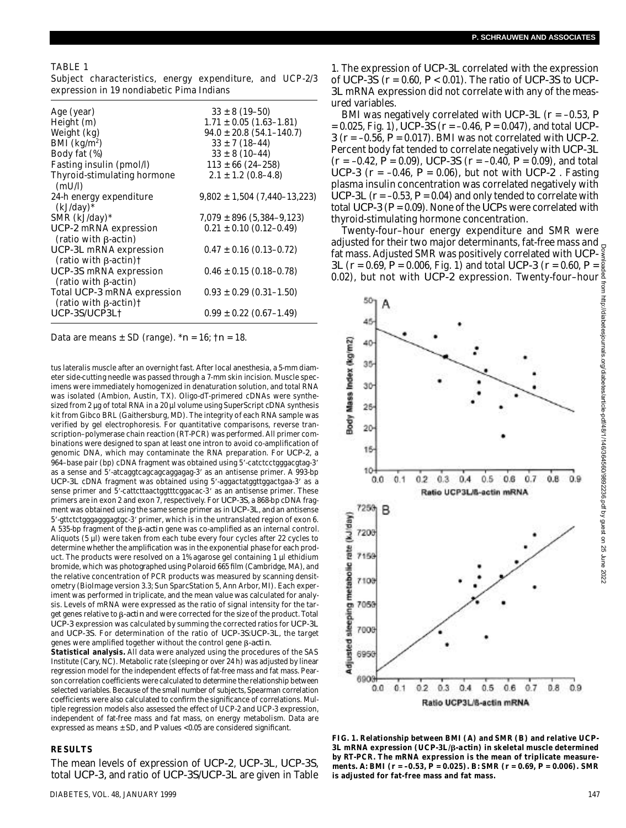#### TABLE 1

Subject characteristics, energy expenditure, and UCP-2/3 expression in 19 nondiabetic Pima Indians

| Age (year)                                                           | $33 \pm 8$ (19–50)               |
|----------------------------------------------------------------------|----------------------------------|
| Height (m)                                                           | $1.71 \pm 0.05$ (1.63–1.81)      |
| Weight (kg)                                                          | $94.0 \pm 20.8$ (54.1-140.7)     |
| BMI $(kg/m2)$                                                        | $33 \pm 7(18 - 44)$              |
| Body fat (%)                                                         | $33 \pm 8$ (10-44)               |
| Fasting insulin (pmol/l)                                             | $113 \pm 66$ (24-258)            |
| Thyroid-stimulating hormone<br>(mU/I)                                | $2.1 \pm 1.2$ (0.8–4.8)          |
| 24-h energy expenditure<br>$(kJ/day)^*$                              | $9,802 \pm 1,504 (7,440-13,223)$ |
| SMR (kJ/day)*                                                        | $7,079 \pm 896$ (5,384–9,123)    |
| UCP-2 mRNA expression<br>(ratio with B-actin)                        | $0.21 \pm 0.10$ (0.12-0.49)      |
| UCP-3L mRNA expression<br>$(ratio with \beta-actin)$                 | $0.47 \pm 0.16$ (0.13–0.72)      |
| UCP-3S mRNA expression<br>(ratio with $\beta$ -actin)                | $0.46 \pm 0.15$ (0.18–0.78)      |
| Total UCP-3 mRNA expression<br>(ratio with $\beta$ -actin) $\dagger$ | $0.93 \pm 0.29$ (0.31-1.50)      |
| UCP-3S  UCP3L†                                                       | $0.99 \pm 0.22$ (0.67-1.49)      |
|                                                                      |                                  |

Data are means ± SD (range). \**n* = 16; †*n* = 18.

tus lateralis muscle after an overnight fast. After local anesthesia, a 5-mm diameter side-cutting needle was passed through a 7-mm skin incision. Muscle specimens were immediately homogenized in denaturation solution, and total RNA was isolated (Ambion, Austin, TX). Oligo-dT-primered cDNAs were synthesized from 2 µg of total RNA in a 20 µl volume using SuperScript cDNA synthesis kit from Gibco BRL (Gaithersburg, MD). The integrity of each RNA sample was verified by gel electrophoresis. For quantitative comparisons, reverse transcription–polymerase chain reaction (RT-PCR) was performed. All primer combinations were designed to span at least one intron to avoid co-amplification of genomic DNA, which may contaminate the RNA preparation. For *UCP-2*, a 964-base pair (bp) cDNA fragment was obtained using 5'-catctcctgggacgtag-3' as a sense and 5'-atcaggtcagcagcaggagag-3' as an antisense primer. A 993-bp *UCP-3L* cDNA fragment was obtained using 5'-aggactatggttggactgaa-3' as a sense primer and 5'-cattcttaactggtttcggacac-3' as an antisense primer. These primers are in exon 2 and exon 7, respectively. For UCP-3S, a 868-bp cDNA fragment was obtained using the same sense primer as in *UCP-3L*, and an antisense 5'-gttctctgggagggagtgc-3' primer, which is in the untranslated region of exon 6. A 535-bp fragment of the  $\beta$ -actin gene was co-amplified as an internal control. Aliquots (5 µl) were taken from each tube every four cycles after 22 cycles to determine whether the amplification was in the exponential phase for each product. The products were resolved on a 1% agarose gel containing 1 µl ethidium bromide, which was photographed using Polaroid 665 film (Cambridge, MA), and the relative concentration of PCR products was measured by scanning densitometry (BioImage version 3.3; Sun SparcStation 5, Ann Arbor, MI). Each experiment was performed in triplicate, and the mean value was calculated for analysis. Levels of mRNA were expressed as the ratio of signal intensity for the target genes relative to  $\beta$ -actin and were corrected for the size of the product. Total *UCP-3* expression was calculated by summing the corrected ratios for *UCP-3L* and *UCP-3S*. For determination of the ratio of *UCP-3S: UCP-3L*, the target genes were amplified together without the control gene *-actin*.

**Statistical analysis.** All data were analyzed using the procedures of the SAS Institute (Cary, NC). Metabolic rate (sleeping or over 24 h) was adjusted by linear regression model for the independent effects of fat-free mass and fat mass. Pearson correlation coefficients were calculated to determine the relationship between selected variables. Because of the small number of subjects, Spearman correlation coefficients were also calculated to confirm the significance of correlations. Multiple regression models also assessed the effect of UCP-2 and UCP-3 expression, independent of fat-free mass and fat mass, on energy metabolism. Data are expressed as means  $\pm$  SD, and *P* values <0.05 are considered significant.

#### **R E S U LT S**

The mean levels of expression of *UCP-2, UCP-3L, UCP-3S*, total *UCP-3*, and ratio of *UCP-3SI UCP-3L* are given in Table

1. The expression of *UCP-3L* correlated with the expression of *U C P - 3 S* (*r* = 0.60, *P* < 0.01). The ratio of *U C P - 3 S* to *U C P -* 3L mRNA expression did not correlate with any of the measured variables.

BMI was negatively correlated with *UCP-3L* ( $r = -0.53$ , P  $= 0.025$ , Fig. 1), *UCP-3S*( $r = -0.46$ ,  $P = 0.047$ ), and total *UCP-* $3(r = -0.56, P = 0.017)$ . BMI was not correlated with *UCP-2*. Percent body fat tended to correlate negatively with *UCP-3L*  $(r = -0.42, P = 0.09)$ , *UCP-3S*  $(r = -0.40, P = 0.09)$ , and total *UCP-3* ( $r = -0.46$ ,  $P = 0.06$ ), but not with *UCP-2*. Fasting plasma insulin concentration was correlated negatively with *UCP-3L* ( $r = -0.53$ ,  $P = 0.04$ ) and only tended to correlate with total  $UCP-3(P = 0.09)$ . None of the  $\overline{UCP}$ s were correlated with thyroid-stimulating hormone concentration.

Twenty-four–hour energy expenditure and SMR were adjusted for their two major determinants, fat-free mass and fat mass. Adjusted SMR was positively correlated with *UCP-3 L* (*r* = 0.69, *P* = 0.006, Fig. 1) and total *UCP-3* (*r* = 0.60, *P* =



**FIG. 1. Relationship between BMI (A) and SMR (B) and relative UCP-***3 L* **mRNA expression (***U C P - 3 L***/** *- a c t i n***) in skeletal muscle determined by RT-PCR. The mRNA expression is the mean of triplicate measurements.** *A :* **BMI (***r* **= –0.53,** *P* **= 0.025).** *B:* **SMR (***r* **= 0.69,** *P* **= 0.006). SMR is adjusted for fat-free mass and fat mass.**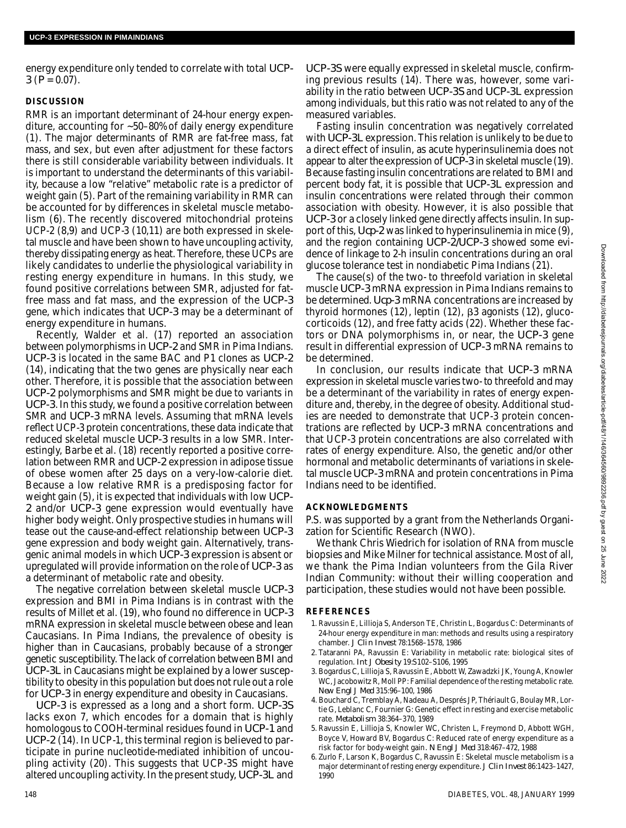energy expenditure only tended to correlate with total *UCP-* $3(P = 0.07)$ .

## **DISCUSSION**

RMR is an important determinant of 24-hour energy expenditure, accounting for ~50–80% of daily energy expenditure (1). The major determinants of RMR are fat-free mass, fat mass, and sex, but even after adjustment for these factors there is still considerable variability between individuals. It is important to understand the determinants of this variability, because a low "relative" metabolic rate is a predictor of weight gain (5). Part of the remaining variability in RMR can be accounted for by differences in skeletal muscle metabolism (6). The recently discovered mitochondrial proteins UCP-2 (8,9) and UCP-3 (10,11) are both expressed in skeletal muscle and have been shown to have uncoupling activity, thereby dissipating energy as heat. Therefore, these UCPs are likely candidates to underlie the physiological variability in resting energy expenditure in humans. In this study, we found positive correlations between SMR, adjusted for fatfree mass and fat mass, and the expression of the *UCP-3* gene, which indicates that *UCP-3* may be a determinant of energy expenditure in humans.

Recently, Walder et al. (17) reported an association between polymorphisms in *UCP-2* and SMR in Pima Indians. *UCP-3* is located in the same BAC and P1 clones as *UCP-2* (14), indicating that the two genes are physically near each other. Therefore, it is possible that the association between *UCP-2* polymorphisms and SMR might be due to variants in *UCP-3*. In this study, we found a positive correlation between SMR and *UCP-3* mRNA levels. Assuming that mRNA levels reflect UCP-3 protein concentrations, these data indicate that reduced skeletal muscle *UCP-3* results in a low SMR. Interestingly, Barbe et al. (18) recently reported a positive correlation between RMR and UCP-2 expression in adipose tissue of obese women after 25 days on a very-low-calorie diet. Because a low relative RMR is a predisposing factor for weight gain (5), it is expected that individuals with low *UCP-*2 and/or *UCP-3* gene expression would eventually have higher body weight. Only prospective studies in humans will tease out the cause-and-effect relationship between *UCP-3* gene expression and body weight gain. Alternatively, transgenic animal models in which *UCP-3* expression is absent or upregulated will provide information on the role of *UCP-3* as a determinant of metabolic rate and obesity.

The negative correlation between skeletal muscle *UCP-3* expression and BMI in Pima Indians is in contrast with the results of Millet et al. (19), who found no difference in *UCP-3* mRNA expression in skeletal muscle between obese and lean Caucasians. In Pima Indians, the prevalence of obesity is higher than in Caucasians, probably because of a stronger genetic susceptibility. The lack of correlation between BMI and *UCP-3L* in Caucasians might be explained by a lower susceptibility to obesity in this population but does not rule out a role for *UCP-3* in energy expenditure and obesity in Caucasians.

*UCP-3* is expressed as a long and a short form. *UCP-3S* lacks exon 7, which encodes for a domain that is highly homologous to COOH-terminal residues found in *UCP-1* and *UCP-2* (14). In UCP-1, this terminal region is believed to participate in purine nucleotide-mediated inhibition of uncoupling activity (20). This suggests that UCP-3S might have altered uncoupling activity. In the present study, UCP-3L and

*UCP-3S* were equally expressed in skeletal muscle, confirming previous results (14). There was, however, some variability in the ratio between *UCP-3S* and *UCP-3L* expression among individuals, but this ratio was not related to any of the measured variables.

Fasting insulin concentration was negatively correlated with *UCP-3L* expression. This relation is unlikely to be due to a direct effect of insulin, as acute hyperinsulinemia does not appear to alter the expression of *UCP-3* in skeletal muscle (19). Because fasting insulin concentrations are related to BMI and percent body fat, it is possible that *UCP-3L* expression and insulin concentrations were related through their common association with obesity. However, it is also possible that *UCP-3* or a closely linked gene directly affects insulin. In support of this, *Ucp-2* was linked to hyperinsulinemia in mice (9), and the region containing *UCP-2/UCP-3* showed some evidence of linkage to 2-h insulin concentrations during an oral glucose tolerance test in nondiabetic Pima Indians (21).

The cause(s) of the two- to threefold variation in skeletal muscle *UCP-3* mRNA expression in Pima Indians remains to be determined. *Ucp-3* mRNA concentrations are increased by thyroid hormones  $(12)$ , leptin  $(12)$ ,  $\beta$ 3 agonists  $(12)$ , glucocorticoids (12), and free fatty acids (22). Whether these factors or DNA polymorphisms in, or near, the *UCP-3* gene result in differential expression of *UCP-3* mRNA remains to be determined.

In conclusion, our results indicate that *UCP-3* mRNA expression in skeletal muscle varies two- to threefold and may be a determinant of the variability in rates of energy expenditure and, thereby, in the degree of obesity. Additional studies are needed to demonstrate that UCP-3 protein concentrations are reflected by *UCP-3* mRNA concentrations and that UCP-3 protein concentrations are also correlated with rates of energy expenditure. Also, the genetic and/or other hormonal and metabolic determinants of variations in skeletal muscle *UCP-3* mRNA and protein concentrations in Pima Indians need to be identified.

## **ACKNOWLEDGMENTS**

P.S. was supported by a grant from the Netherlands Organization for Scientific Research (NWO).

We thank Chris Wiedrich for isolation of RNA from muscle biopsies and Mike Milner for technical assistance. Most of all, we thank the Pima Indian volunteers from the Gila River Indian Community: without their willing cooperation and participation, these studies would not have been possible.

## **R E F E R E N C E S**

- 1 . Ravussin E, Lillioja S, Anderson TE, Christin L, Bogardus C: Determinants of 24-hour energy expenditure in man: methods and results using a respiratory chamber. *J Clin Invest* 78:1568-1578, 1986
- 2 . Tataranni PA, Ravussin E: Variability in metabolic rate: biological sites of regulation. *Int J Obesity* 19:S102–S106, 1995
- 3 . Bogardus C, Lillioja S, Ravussin E, Abbott W, Zawadzki JK, Young A, Knowler WC, Jacobowitz R, Moll PP: Familial dependence of the resting metabolic rate. *New Engl J Med* 315:96–100, 1986
- 4 . Bouchard C, Tremblay A, Nadeau A, Després JP, Thériault G, Boulay MR, Lortie G, Leblanc C, Fournier G: Genetic effect in resting and exercise metabolic rate. *Metabolism* 38:364-370, 1989
- 5 . Ravussin E, Lillioja S, Knowler WC, Christen L, Freymond D, Abbott WGH, Boyce V, Howard BV, Bogardus C: Reduced rate of energy expenditure as a risk factor for body-weight gain*. N Engl J Med* 318:467–472, 1988
- 6 . Zurlo F, Larson K, Bogardus C, Ravussin E: Skeletal muscle metabolism is a major determinant of resting energy expenditure. *J Clin Invest* 86:1423-1427, 1990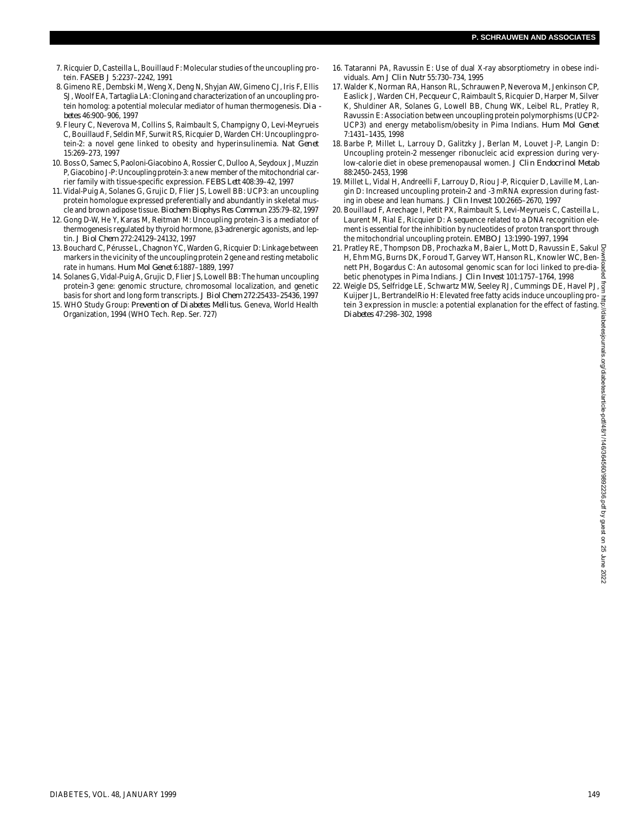- 7 . Ricquier D, Casteilla L, Bouillaud F: Molecular studies of the uncoupling protein. *FASEB J* 5:2237–2242, 1991
- 8 . Gimeno RE, Dembski M, Weng X, Deng N, Shyjan AW, Gimeno CJ, Iris F, Ellis SJ, Woolf EA, Tartaglia LA: Cloning and characterization of an uncoupling protein homolog: a potential molecular mediator of human thermogenesis. *Dia b e t e s* 46:900–906, 1997
- 9. Fleury C, Neverova M, Collins S, Raimbault S, Champigny O, Levi-Meyrueis C, Bouillaud F, Seldin MF, Surwit RS, Ricquier D, Warden CH: Uncoupling protein-2: a novel gene linked to obesity and hyperinsulinemia. *Nat Genet* 15:269–273, 1997
- 10. Boss O, Samec S, Paoloni-Giacobino A, Rossier C, Dulloo A, Seydoux J, Muzzin P, Giacobino J-P: Uncoupling protein-3: a new member of the mitochondrial carrier family with tissue-specific expression. *FEBS Lett* 408:39–42, 1997
- 11. Vidal-Puig A, Solanes G, Grujic D, Flier JS, Lowell BB: UCP3: an uncoupling protein homologue expressed preferentially and abundantly in skeletal muscle and brown adipose tissue*. Biochem Biophys Res Commun* 235:79–82, 1997
- 12. Gong D-W, He Y, Karas M, Reitman M: Uncoupling protein-3 is a mediator of thermogenesis regulated by thyroid hormone,  $\beta$ 3-adrenergic agonists, and leptin. *J Biol Chem* 272:24129–24132, 1997
- 13. Bouchard C, Pérusse L, Chagnon YC, Warden G, Ricquier D: Linkage between markers in the vicinity of the uncoupling protein 2 gene and resting metabolic rate in humans. *Hum Mol Genet* 6:1887–1889, 1997
- 14. Solanes G, Vidal-Puig A, Grujic D, Flier JS, Lowell BB: The human uncoupling protein-3 gene: genomic structure, chromosomal localization, and genetic basis for short and long form transcripts. *J Biol Chem* 272:25433–25436, 1997
- 15. WHO Study Group: *Prevention of Diabetes Mellitus.* Geneva, World Health Organization, 1994 (WHO Tech. Rep. Ser. 727)
- 16. Tataranni PA, Ravussin E: Use of dual X-ray absorptiometry in obese individuals. *Am J Clin Nutr* 55:730–734, 1995
- 17. Walder K, Norman RA, Hanson RL, Schrauwen P, Neverova M, Jenkinson CP, Easlick J, Warden CH, Pecqueur C, Raimbault S, Ricquier D, Harper M, Silver K, Shuldiner AR, Solanes G, Lowell BB, Chung WK, Leibel RL, Pratley R, Ravussin E: Association between uncoupling protein polymorphisms (UCP2- UCP3) and energy metabolism/obesity in Pima Indians. *Hum Mol Genet* 7:1431–1435, 1998
- 18. Barbe P, Millet L, Larrouy D, Galitzky J, Berlan M, Louvet J-P, Langin D: Uncoupling protein-2 messenger ribonucleic acid expression during verylow-calorie diet in obese premenopausal women. *J Clin Endocrinol Metab* 88:2450–2453, 1998
- 19. Millet L, Vidal H, Andreelli F, Larrouy D, Riou J-P, Ricquier D, Laville M, Langin D: Increased uncoupling protein-2 and -3 mRNA expression during fasting in obese and lean humans. *J Clin Invest* 100:2665–2670, 1997
- 20. Bouillaud F, Arechage I, Petit PX, Raimbault S, Levi-Meyrueis C, Casteilla L, Laurent M, Rial E, Ricquier D: A sequence related to a DNA recognition element is essential for the inhibition by nucleotides of proton transport through the mitochondrial uncoupling protein. *EMBO J* 13:1990–1997, 1994
- 21. Pratley RE, Thompson DB, Prochazka M, Baier L, Mott D, Ravussin E, Sakul H, Ehm MG, Burns DK, Foroud T, Garvey WT, Hanson RL, Knowler WC, Bennett PH, Bogardus C: An autosomal genomic scan for loci linked to pre-dia- $\frac{1}{8}$ betic phenotypes in Pima Indians. *J Clin Invest* 101:1757–1764, 1998
- 22. Weigle DS, Selfridge LE, Schwartz MW, Seeley RJ, Cummings DE, Havel PJ,  $\frac{3}{5}$ Kuijper JL, BertrandelRio H: Elevated free fatty acids induce uncoupling protein 3 expression in muscle: a potential explanation for the effect of fasting. *D i a b e t e s* 47:298–302, 1998